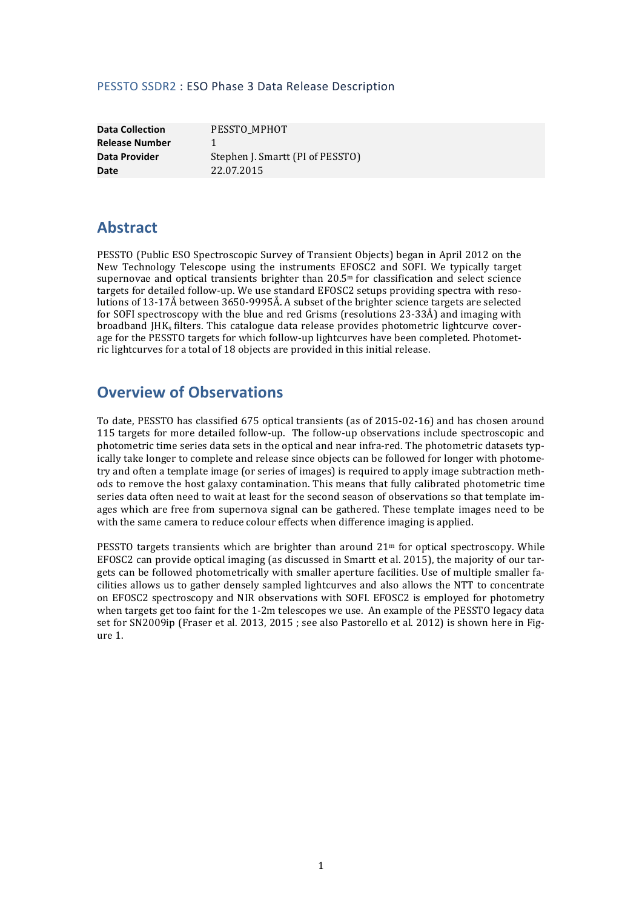#### PESSTO SSDR2 : ESO Phase 3 Data Release Description

| <b>Data Collection</b> |   |
|------------------------|---|
| <b>Release Number</b>  | 1 |
| Data Provider          | S |
| Date                   |   |

**PESSTO\_MPHOT** Stephen J. Smartt (PI of PESSTO) **Date** 22.07.2015

# **Abstract**

PESSTO (Public ESO Spectroscopic Survey of Transient Objects) began in April 2012 on the New Technology Telescope using the instruments EFOSC2 and SOFI. We typically target supernovae and optical transients brighter than  $20.5<sup>m</sup>$  for classification and select science targets for detailed follow-up. We use standard EFOSC2 setups providing spectra with resolutions of 13-17Å between 3650-9995Å. A subset of the brighter science targets are selected for SOFI spectroscopy with the blue and red Grisms (resolutions  $23-33\AA$ ) and imaging with broadband IHK<sub>s</sub> filters. This catalogue data release provides photometric lightcurve coverage for the PESSTO targets for which follow-up lightcurves have been completed. Photometric lightcurves for a total of 18 objects are provided in this initial release.

# **Overview of Observations**

To date, PESSTO has classified 675 optical transients (as of 2015-02-16) and has chosen around 115 targets for more detailed follow-up. The follow-up observations include spectroscopic and photometric time series data sets in the optical and near infra-red. The photometric datasets typically take longer to complete and release since objects can be followed for longer with photometry and often a template image (or series of images) is required to apply image subtraction methods to remove the host galaxy contamination. This means that fully calibrated photometric time series data often need to wait at least for the second season of observations so that template images which are free from supernova signal can be gathered. These template images need to be with the same camera to reduce colour effects when difference imaging is applied.

PESSTO targets transients which are brighter than around  $21<sup>m</sup>$  for optical spectroscopy. While EFOSC2 can provide optical imaging (as discussed in Smartt et al. 2015), the majority of our targets can be followed photometrically with smaller aperture facilities. Use of multiple smaller facilities allows us to gather densely sampled lightcurves and also allows the NTT to concentrate on EFOSC2 spectroscopy and NIR observations with SOFI. EFOSC2 is employed for photometry when targets get too faint for the 1-2m telescopes we use. An example of the PESSTO legacy data set for SN2009ip (Fraser et al. 2013, 2015 ; see also Pastorello et al. 2012) is shown here in Figure 1.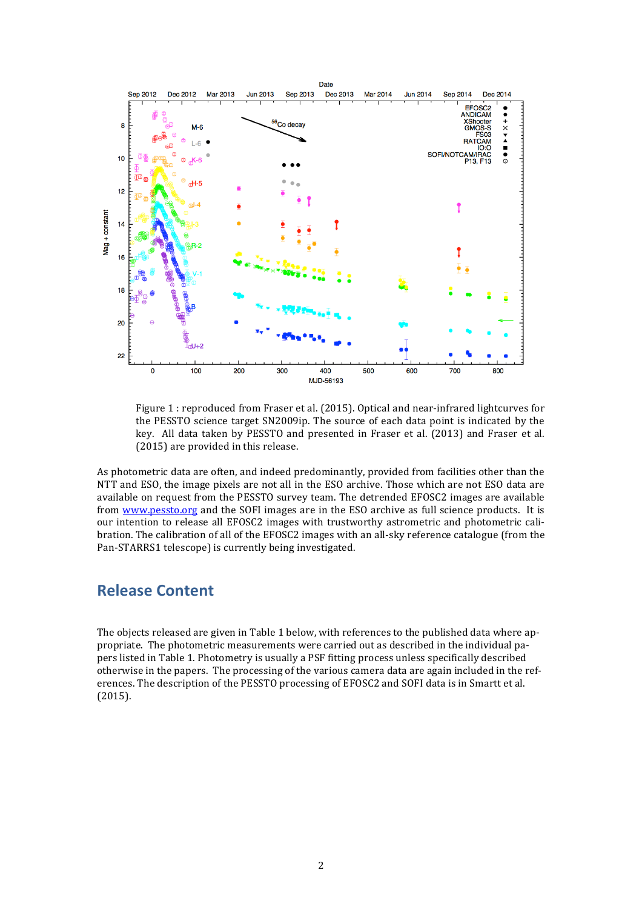

Figure 1: reproduced from Fraser et al. (2015). Optical and near-infrared lightcurves for the PESSTO science target SN2009ip. The source of each data point is indicated by the key. All data taken by PESSTO and presented in Fraser et al. (2013) and Fraser et al.  $(2015)$  are provided in this release.

As photometric data are often, and indeed predominantly, provided from facilities other than the NTT and ESO, the image pixels are not all in the ESO archive. Those which are not ESO data are available on request from the PESSTO survey team. The detrended EFOSC2 images are available from www.pessto.org and the SOFI images are in the ESO archive as full science products. It is our intention to release all EFOSC2 images with trustworthy astrometric and photometric calibration. The calibration of all of the EFOSC2 images with an all-sky reference catalogue (from the Pan-STARRS1 telescope) is currently being investigated.

### **Release Content**

The objects released are given in Table 1 below, with references to the published data where appropriate. The photometric measurements were carried out as described in the individual papers listed in Table 1. Photometry is usually a PSF fitting process unless specifically described otherwise in the papers. The processing of the various camera data are again included in the references. The description of the PESSTO processing of EFOSC2 and SOFI data is in Smartt et al. (2015).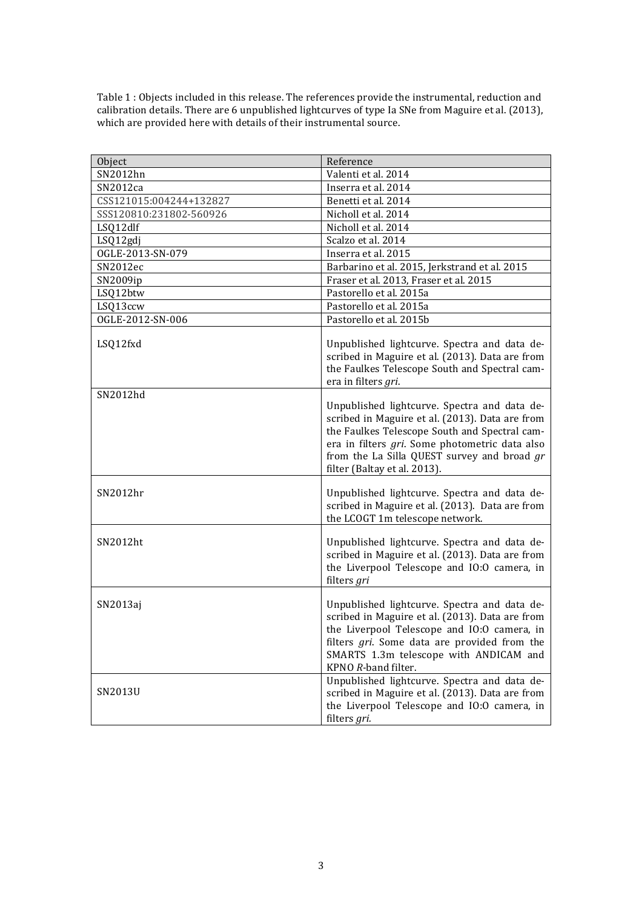Table 1 : Objects included in this release. The references provide the instrumental, reduction and calibration details. There are 6 unpublished lightcurves of type Ia SNe from Maguire et al. (2013), which are provided here with details of their instrumental source.

| Object                  | Reference                                                                                                                                                                                                                                                                         |
|-------------------------|-----------------------------------------------------------------------------------------------------------------------------------------------------------------------------------------------------------------------------------------------------------------------------------|
| SN2012hn                | Valenti et al. 2014                                                                                                                                                                                                                                                               |
| SN2012ca                | Inserra et al. 2014                                                                                                                                                                                                                                                               |
| CSS121015:004244+132827 | Benetti et al. 2014                                                                                                                                                                                                                                                               |
| SSS120810:231802-560926 | Nicholl et al. 2014                                                                                                                                                                                                                                                               |
| LSQ12dlf                | Nicholl et al. 2014                                                                                                                                                                                                                                                               |
| LSQ12gdj                | Scalzo et al. 2014                                                                                                                                                                                                                                                                |
| OGLE-2013-SN-079        | Inserra et al. 2015                                                                                                                                                                                                                                                               |
| SN2012ec                | Barbarino et al. 2015, Jerkstrand et al. 2015                                                                                                                                                                                                                                     |
| SN2009ip                | Fraser et al. 2013, Fraser et al. 2015                                                                                                                                                                                                                                            |
| LSQ12btw                | Pastorello et al. 2015a                                                                                                                                                                                                                                                           |
| LSQ13ccw                | Pastorello et al. 2015a                                                                                                                                                                                                                                                           |
| OGLE-2012-SN-006        | Pastorello et al. 2015b                                                                                                                                                                                                                                                           |
| LSQ12fxd                | Unpublished lightcurve. Spectra and data de-<br>scribed in Maguire et al. (2013). Data are from<br>the Faulkes Telescope South and Spectral cam-<br>era in filters gri.                                                                                                           |
| SN2012hd                | Unpublished lightcurve. Spectra and data de-<br>scribed in Maguire et al. (2013). Data are from<br>the Faulkes Telescope South and Spectral cam-<br>era in filters gri. Some photometric data also<br>from the La Silla QUEST survey and broad gr<br>filter (Baltay et al. 2013). |
| SN2012hr                | Unpublished lightcurve. Spectra and data de-<br>scribed in Maguire et al. (2013). Data are from<br>the LCOGT 1m telescope network.                                                                                                                                                |
| SN2012ht                | Unpublished lightcurve. Spectra and data de-<br>scribed in Maguire et al. (2013). Data are from<br>the Liverpool Telescope and IO:O camera, in<br>filters gri                                                                                                                     |
| SN2013aj                | Unpublished lightcurve. Spectra and data de-<br>scribed in Maguire et al. (2013). Data are from<br>the Liverpool Telescope and IO:O camera, in<br>filters gri. Some data are provided from the<br>SMARTS 1.3m telescope with ANDICAM and<br>KPNO R-band filter.                   |
| SN2013U                 | Unpublished lightcurve. Spectra and data de-<br>scribed in Maguire et al. (2013). Data are from<br>the Liverpool Telescope and IO:O camera, in<br>filters gri.                                                                                                                    |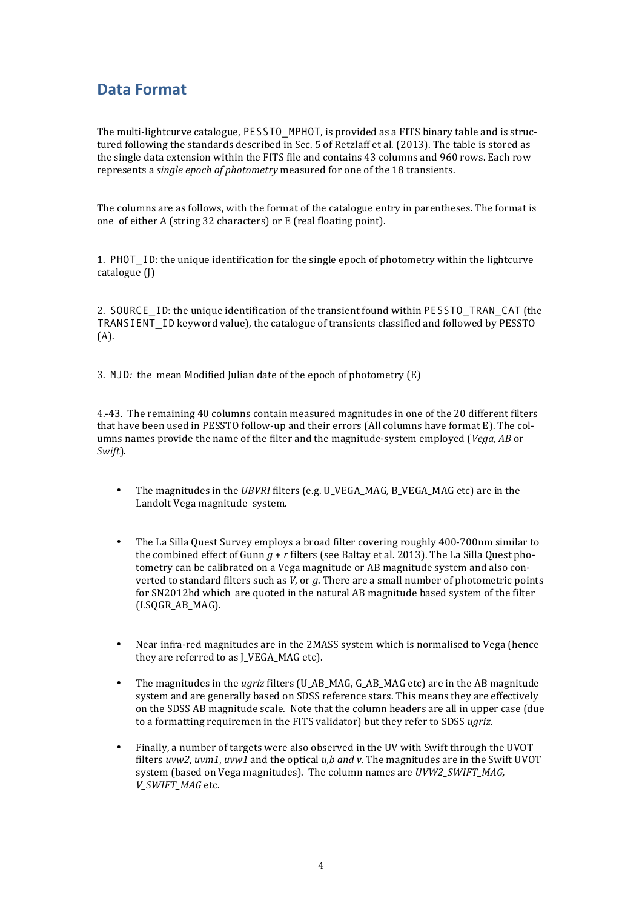# **Data Format**

The multi-lightcurve catalogue, PESSTO MPHOT, is provided as a FITS binary table and is structured following the standards described in Sec. 5 of Retzlaff et al. (2013). The table is stored as the single data extension within the FITS file and contains 43 columns and 960 rows. Each row represents a *single epoch of photometry* measured for one of the 18 transients.

The columns are as follows, with the format of the catalogue entry in parentheses. The format is one of either A (string 32 characters) or E (real floating point).

1. PHOT ID: the unique identification for the single epoch of photometry within the lightcurve catalogue (J)

2. SOURCE ID: the unique identification of the transient found within PESSTO TRAN CAT (the  $TRANSIENT$  ID keyword value), the catalogue of transients classified and followed by PESSTO (A).

3. MJD; the mean Modified Julian date of the epoch of photometry (E)

4.-43. The remaining 40 columns contain measured magnitudes in one of the 20 different filters that have been used in PESSTO follow-up and their errors (All columns have format E). The columns names provide the name of the filter and the magnitude-system employed (*Vega*, *AB* or *Swift*). 

- The magnitudes in the *UBVRI* filters (e.g. U\_VEGA\_MAG, B\_VEGA\_MAG etc) are in the Landolt Vega magnitude system.
- The La Silla Quest Survey employs a broad filter covering roughly 400-700nm similar to the combined effect of Gunn  $q + r$  filters (see Baltay et al. 2013). The La Silla Ouest photometry can be calibrated on a Vega magnitude or AB magnitude system and also converted to standard filters such as  $V$ , or  $g$ . There are a small number of photometric points for SN2012hd which are quoted in the natural AB magnitude based system of the filter (LSQGR\_AB\_MAG).
- Near infra-red magnitudes are in the 2MASS system which is normalised to Vega (hence they are referred to as I VEGA MAG etc).
- The magnitudes in the *ugriz* filters (U\_AB\_MAG, G\_AB\_MAG etc) are in the AB magnitude system and are generally based on SDSS reference stars. This means they are effectively on the SDSS AB magnitude scale. Note that the column headers are all in upper case (due to a formatting requiremen in the FITS validator) but they refer to SDSS *ugriz*.
- Finally, a number of targets were also observed in the UV with Swift through the UVOT filters *uvw2*, *uvm1*, *uvw1* and the optical *u,b and v*. The magnitudes are in the Swift UVOT system (based on Vega magnitudes). The column names are *UVW2 SWIFT MAG*, *V\_SWIFT\_MAG* etc.